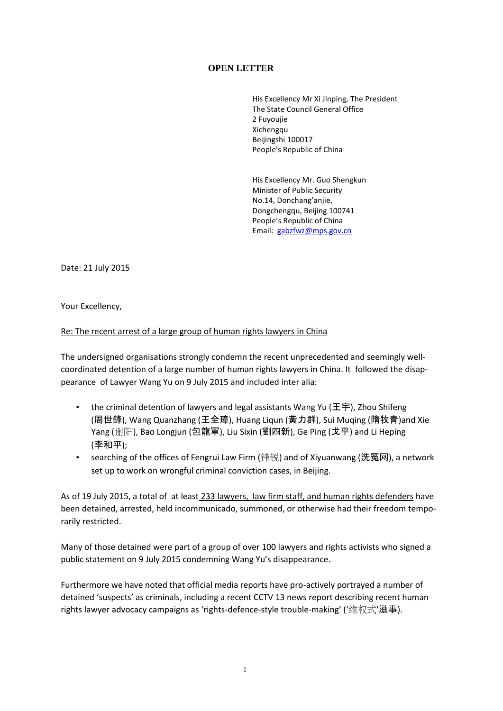## **OPEN LETTER**

His Excellency Mr Xi Jinping, The President The State Council General Office 2 Fuyoujie Xichengqu Beijingshi 100017 People's Republic of China

His Excellency Mr. Guo Shengkun Minister of Public Security No.14, Donchang'anjie, Dongchengqu, Beijing 100741 People's Republic of China Email: [gabzfwz@mps.gov.cn](mailto:gabzfwz@mps.gov.cn)

Date: 21 July 2015

Your Excellency,

## Re: The recent arrest of a large group of human rights lawyers in China

The undersigned organisations strongly condemn the recent unprecedented and seemingly wellcoordinated detention of a large number of human rights lawyers in China. It followed the disappearance of Lawyer Wang Yu on 9 July 2015 and included inter alia:

- the criminal detention of lawyers and legal assistants Wang Yu (王宇), Zhou Shifeng (周世鋒), Wang Quanzhang (王全璋), Huang Liqun (黃力群), Sui Muqing (隋牧青)and Xie Yang (谢阳), Bao Longjun (包龍軍), Liu Sixin (劉四新), Ge Ping (戈平) and Li Heping (李和平);
- searching of the offices of Fengrui Law Firm (锋锐) and of Xiyuanwang (洗冤网), a network set up to work on wrongful criminal conviction cases, in Beijing.

As of 19 July 2015, a total of at least 233 lawyers, law firm staff, and human rights defenders have been detained, arrested, held incommunicado, summoned, or otherwise had their freedom temporarily restricted.

Many of those detained were part of a group of over 100 lawyers and rights activists who signed a public statement on 9 July 2015 condemning Wang Yu's disappearance.

Furthermore we have noted that official media reports have pro-actively portrayed a number of detained 'suspects' as criminals, including a recent CCTV 13 news report describing recent human rights lawyer advocacy campaigns as 'rights-defence-style trouble-making' ('维权式'滋事).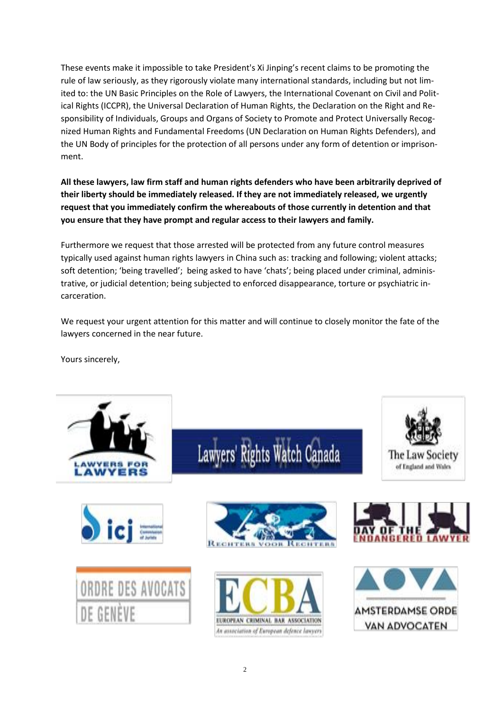These events make it impossible to take President's Xi Jinping's recent claims to be promoting the rule of law seriously, as they rigorously violate many international standards, including but not limited to: the UN Basic Principles on the Role of Lawyers, the International Covenant on Civil and Political Rights (ICCPR), the Universal Declaration of Human Rights, the Declaration on the Right and Responsibility of Individuals, Groups and Organs of Society to Promote and Protect Universally Recognized Human Rights and Fundamental Freedoms (UN Declaration on Human Rights Defenders), and the UN Body of principles for the protection of all persons under any form of detention or imprisonment.

**All these lawyers, law firm staff and human rights defenders who have been arbitrarily deprived of their liberty should be immediately released. If they are not immediately released, we urgently request that you immediately confirm the whereabouts of those currently in detention and that you ensure that they have prompt and regular access to their lawyers and family.**

Furthermore we request that those arrested will be protected from any future control measures typically used against human rights lawyers in China such as: tracking and following; violent attacks; soft detention; 'being travelled'; being asked to have 'chats'; being placed under criminal, administrative, or judicial detention; being subjected to enforced disappearance, torture or psychiatric incarceration.

We request your urgent attention for this matter and will continue to closely monitor the fate of the lawyers concerned in the near future.

Yours sincerely,





Lawyers' Rights Watch Canada







The Law Society of England and Wales

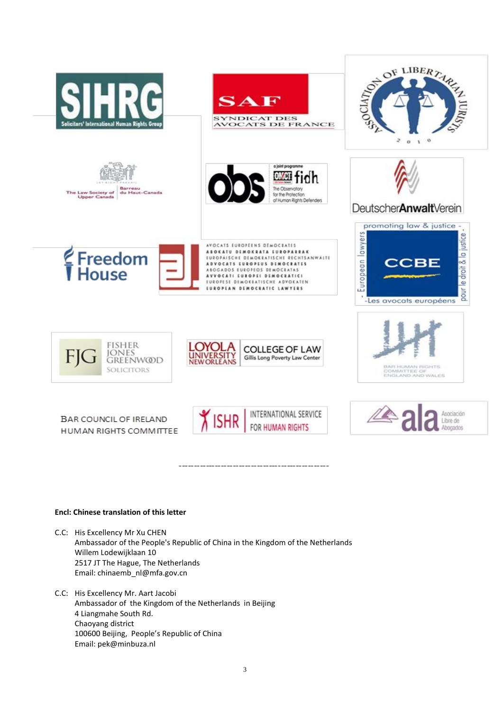







 $\mathbf{S}$  .



AVOCATS EUROPEENS DEMOCRATES ABOKATU DEMOKRATA EUROPARRAK EUROPAISCHE DEMOKRATISCHE RECHTSANWALTE<br>ADVOCATS EUROPEUS DEMOCRATES ABOGADOS EUROFEOS DEMOCRATAS EUROPESE DEMOKRATISCHE ADVOKATEN **IUROPEAN DEMOCRATIC LAWTERS** 







BAR COUNCIL OF IRELAND HUMAN RIGHTS COMMITTEE







DeutscherAnwaltVerein







## **Encl: Chinese translation of this letter**

- C.C: His Excellency Mr Xu CHEN Ambassador of the People's Republic of China in the Kingdom of the Netherlands Willem Lodewijklaan 10 2517 JT The Hague, The Netherlands Email: [chinaemb\\_nl@mfa.gov.cn](mailto:chinaemb_nl@mfa.gov.cn)
- C.C: His Excellency Mr. Aart Jacobi Ambassador of the Kingdom of the Netherlands in Beijing 4 Liangmahe South Rd. Chaoyang district 100600 Beijing, People's Republic of China Email[: pek@minbuza.nl](mailto:pek@minbuza.nl)